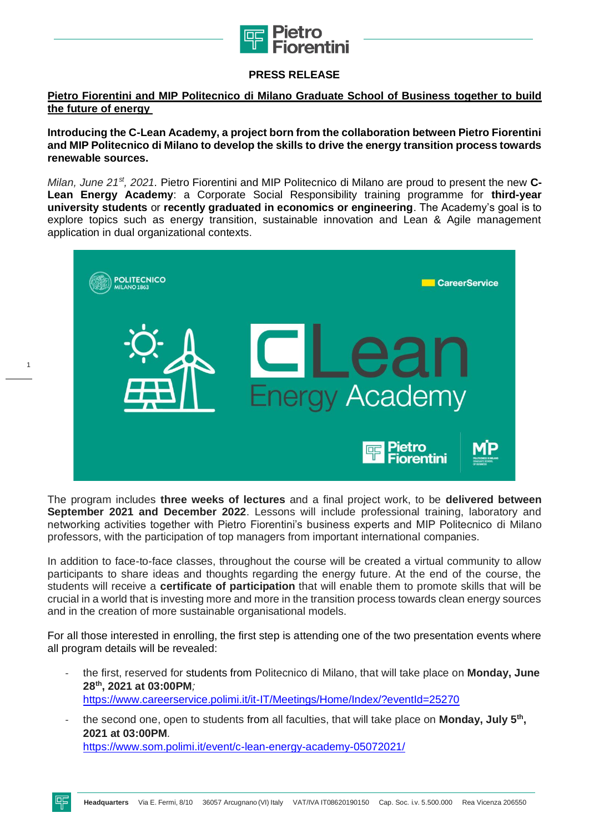

## **PRESS RELEASE**

## **Pietro Fiorentini and MIP Politecnico di Milano Graduate School of Business together to build the future of energy**

**Introducing the C-Lean Academy, a project born from the collaboration between Pietro Fiorentini and MIP Politecnico di Milano to develop the skills to drive the energy transition process towards renewable sources.** 

*Milan, June 21st, 2021.* Pietro Fiorentini and MIP Politecnico di Milano are proud to present the new **C-Lean Energy Academy**: a Corporate Social Responsibility training programme for **third-year university students** or **recently graduated in economics or engineering**. The Academy's goal is to explore topics such as energy transition, sustainable innovation and Lean & Agile management application in dual organizational contexts.



The program includes **three weeks of lectures** and a final project work, to be **delivered between September 2021 and December 2022**. Lessons will include professional training, laboratory and networking activities together with Pietro Fiorentini's business experts and MIP Politecnico di Milano professors, with the participation of top managers from important international companies.

In addition to face-to-face classes, throughout the course will be created a virtual community to allow participants to share ideas and thoughts regarding the energy future. At the end of the course, the students will receive a **certificate of participation** that will enable them to promote skills that will be crucial in a world that is investing more and more in the transition process towards clean energy sources and in the creation of more sustainable organisational models.

For all those interested in enrolling, the first step is attending one of the two presentation events where all program details will be revealed:

- the first, reserved for students from Politecnico di Milano, that will take place on **Monday, June 28th, 2021 at 03:00PM***;* <https://www.careerservice.polimi.it/it-IT/Meetings/Home/Index/?eventId=25270>
- the second one, open to students from all faculties, that will take place on **Monday, July 5th , 2021 at 03:00PM***.* <https://www.som.polimi.it/event/c-lean-energy-academy-05072021/>

1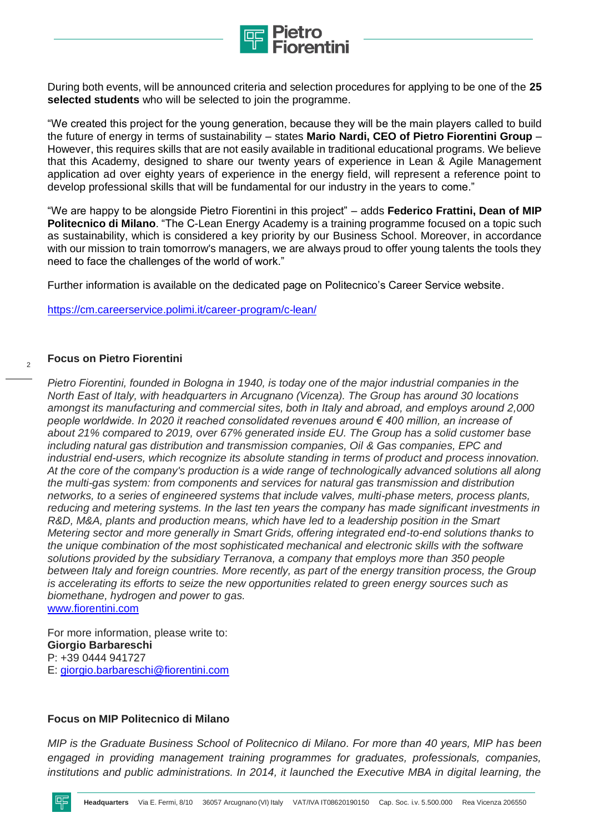

During both events, will be announced criteria and selection procedures for applying to be one of the **25 selected students** who will be selected to join the programme.

"We created this project for the young generation, because they will be the main players called to build the future of energy in terms of sustainability – states **Mario Nardi, CEO of Pietro Fiorentini Group** – However, this requires skills that are not easily available in traditional educational programs. We believe that this Academy, designed to share our twenty years of experience in Lean & Agile Management application ad over eighty years of experience in the energy field, will represent a reference point to develop professional skills that will be fundamental for our industry in the years to come."

"We are happy to be alongside Pietro Fiorentini in this project" – adds **Federico Frattini, Dean of MIP Politecnico di Milano**. "The C-Lean Energy Academy is a training programme focused on a topic such as sustainability, which is considered a key priority by our Business School. Moreover, in accordance with our mission to train tomorrow's managers, we are always proud to offer young talents the tools they need to face the challenges of the world of work."

Further information is available on the dedicated page on Politecnico's Career Service website.

<https://cm.careerservice.polimi.it/career-program/c-lean/>

## **Focus on Pietro Fiorentini**

 $\overline{2}$ 

*Pietro Fiorentini, founded in Bologna in 1940, is today one of the major industrial companies in the North East of Italy, with headquarters in Arcugnano (Vicenza). The Group has around 30 locations amongst its manufacturing and commercial sites, both in Italy and abroad, and employs around 2,000 people worldwide. In 2020 it reached consolidated revenues around € 400 million, an increase of about 21% compared to 2019, over 67% generated inside EU. The Group has a solid customer base including natural gas distribution and transmission companies, Oil & Gas companies, EPC and industrial end-users, which recognize its absolute standing in terms of product and process innovation. At the core of the company's production is a wide range of technologically advanced solutions all along the multi-gas system: from components and services for natural gas transmission and distribution networks, to a series of engineered systems that include valves, multi-phase meters, process plants, reducing and metering systems. In the last ten years the company has made significant investments in R&D, M&A, plants and production means, which have led to a leadership position in the Smart Metering sector and more generally in Smart Grids, offering integrated end-to-end solutions thanks to the unique combination of the most sophisticated mechanical and electronic skills with the software solutions provided by the subsidiary Terranova, a company that employs more than 350 people between Italy and foreign countries. More recently, as part of the energy transition process, the Group is accelerating its efforts to seize the new opportunities related to green energy sources such as biomethane, hydrogen and power to gas.*  [www.fiorentini.com](http://www.fiorentini.com/)

For more information, please write to: **Giorgio Barbareschi** P: +39 0444 941727 E: [giorgio.barbareschi@fiorentini.com](mailto:giorgio.barbareschi@fiorentini.com)

## **Focus on MIP Politecnico di Milano**

*MIP is the Graduate Business School of Politecnico di Milano. For more than 40 years, MIP has been engaged in providing management training programmes for graduates, professionals, companies,*  institutions and public administrations. In 2014, it launched the Executive MBA in digital learning, the